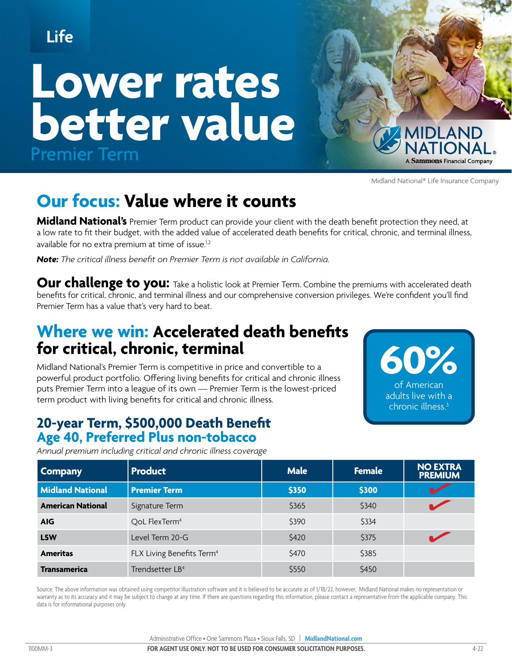# **Life**

# **Lower rates better value** Premier Term



Midland National® Life Insurance Company

**60%**

of American adults live with a chronic illness.3

# **Our focus: Value where it counts**

**Midland National's** Premier Term product can provide your client with the death benefit protection they need, at a low rate to fit their budget, with the added value of accelerated death benefits for critical, chronic, and terminal illness, available for no extra premium at time of issue.<sup>1,2</sup>

*Note: The critical illness benefit on Premier Term is not available in California.*

**Our challenge to you:** Take a holistic look at Premier Term. Combine the premiums with accelerated death benefits for critical, chronic, and terminal illness and our comprehensive conversion privileges. We're confident you'll find Premier Term has a value that's very hard to beat.

## **Where we win: Accelerated death benefits for critical, chronic, terminal**

Midland National's Premier Term is competitive in price and convertible to a powerful product portfolio. Offering living benefits for critical and chronic illness puts Premier Term into a league of its own — Premier Term is the lowest-priced term product with living benefits for critical and chronic illness.

### **20-year Term, \$500,000 Death Benefit Age 40, Preferred Plus non-tobacco**

*Annual premium including critical and chronic illness coverage*

| <b>Company</b>           | <b>Product</b>                        | <b>Male</b> | <b>Female</b> | <b>NO EXTRA</b><br><b>PREMIUM</b> |
|--------------------------|---------------------------------------|-------------|---------------|-----------------------------------|
| <b>Midland National</b>  | <b>Premier Term</b>                   | \$350       | \$300         |                                   |
| <b>American National</b> | Signature Term                        | \$365       | \$340         |                                   |
| <b>AIG</b>               | QoL FlexTerm <sup>4</sup>             | \$390       | \$334         |                                   |
| <b>LSW</b>               | Level Term 20-G                       | \$420       | \$375         |                                   |
| <b>Ameritas</b>          | FLX Living Benefits Term <sup>4</sup> | \$470       | \$385         |                                   |
| <b>Transamerica</b>      | Trendsetter LB <sup>4</sup>           | \$550       | \$450         |                                   |

Source: The above information was obtained using competitor illustration software and it is believed to be accurate as of 1/18/22, however, Midland National makes no representation or warranty as to its accuracy and it may be subject to change at any time. If there are questions regarding this information, please contact a representative from the applicable company. This data is for informational purposes only.

Administrative Office • One Sammons Plaza • Sioux Falls, SD | **MidlandNational.com**